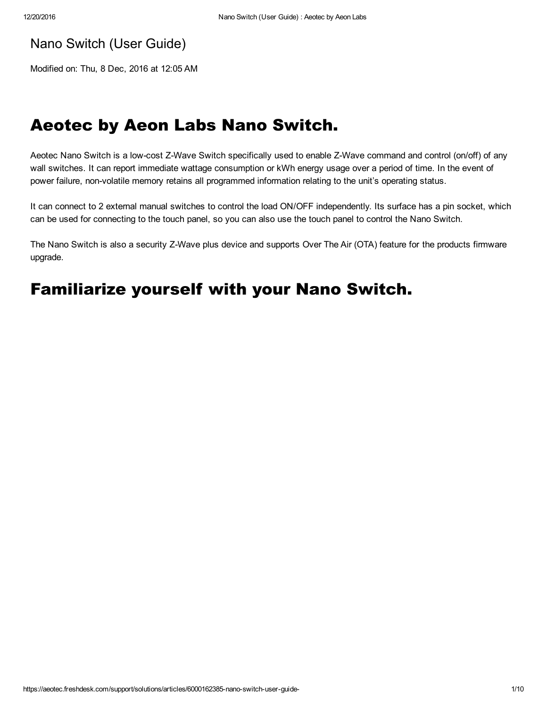## Nano Switch (User Guide)

Modified on: Thu, 8 Dec, 2016 at 12:05 AM

## Aeotec by Aeon Labs Nano Switch.

Aeotec Nano Switch is a low-cost Z-Wave Switch specifically used to enable Z-Wave command and control (on/off) of any wall switches. It can report immediate wattage consumption or kWh energy usage over a period of time. In the event of power failure, nonvolatile memory retains all programmed information relating to the unit's operating status.

It can connect to 2 external manual switches to control the load ON/OFF independently. Its surface has a pin socket, which can be used for connecting to the touch panel, so you can also use the touch panel to control the Nano Switch.

The Nano Switch is also a security Z-Wave plus device and supports Over The Air (OTA) feature for the products firmware upgrade.

# Familiarize yourself with your Nano Switch.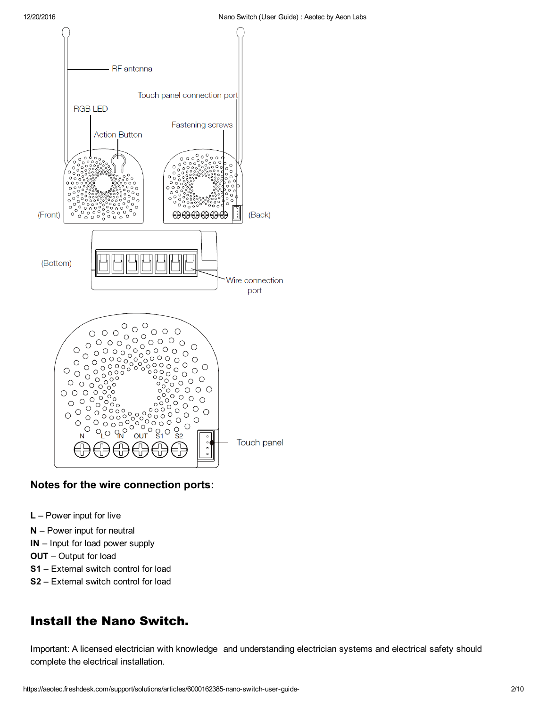

#### Notes for the wire connection ports:

- L Power input for live
- N Power input for neutral
- IN Input for load power supply
- OUT Output for load
- S1 External switch control for load
- S2 External switch control for load

#### Install the Nano Switch.

Important: A licensed electrician with knowledge and understanding electrician systems and electrical safety should complete the electrical installation.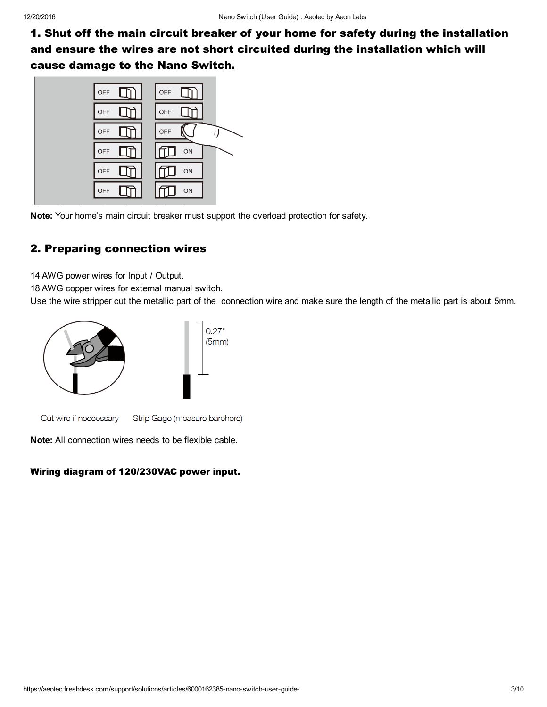1. Shut off the main circuit breaker of your home for safety during the installation and ensure the wires are not short circuited during the installation which will cause damage to the Nano Switch.



Note: Your home's main circuit breaker must support the overload protection for safety.

#### 2. Preparing connection wires

14 AWG power wires for Input / Output.

18 AWG copper wires for external manual switch.

Use the wire stripper cut the metallic part of the connection wire and make sure the length of the metallic part is about 5mm.



Cut wire if neccessary Strip Gage (measure barehere)

Note: All connection wires needs to be flexible cable.

#### Wiring diagram of 120/230VAC power input.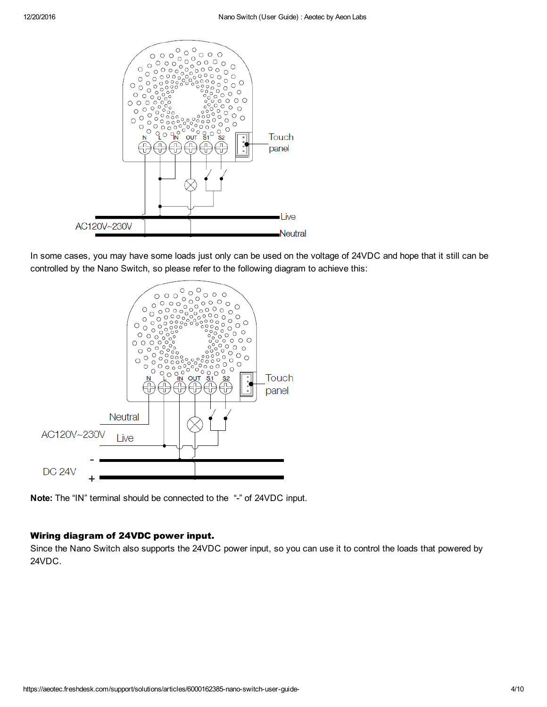

In some cases, you may have some loads just only can be used on the voltage of 24VDC and hope that it still can be controlled by the Nano Switch, so please refer to the following diagram to achieve this:



Note: The "IN" terminal should be connected to the "-" of 24VDC input.

#### Wiring diagram of 24VDC power input.

Since the Nano Switch also supports the 24VDC power input, so you can use it to control the loads that powered by 24VDC.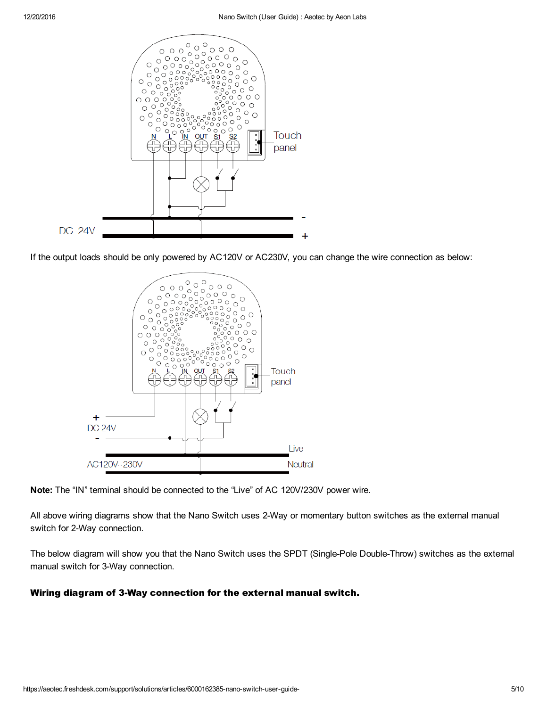

If the output loads should be only powered by AC120V or AC230V, you can change the wire connection as below:



Note: The "IN" terminal should be connected to the "Live" of AC 120V/230V power wire.

All above wiring diagrams show that the Nano Switch uses 2-Way or momentary button switches as the external manual switch for 2-Way connection.

The below diagram will show you that the Nano Switch uses the SPDT (Single-Pole Double-Throw) switches as the external manual switch for 3-Way connection.

#### Wiring diagram of 3-Way connection for the external manual switch.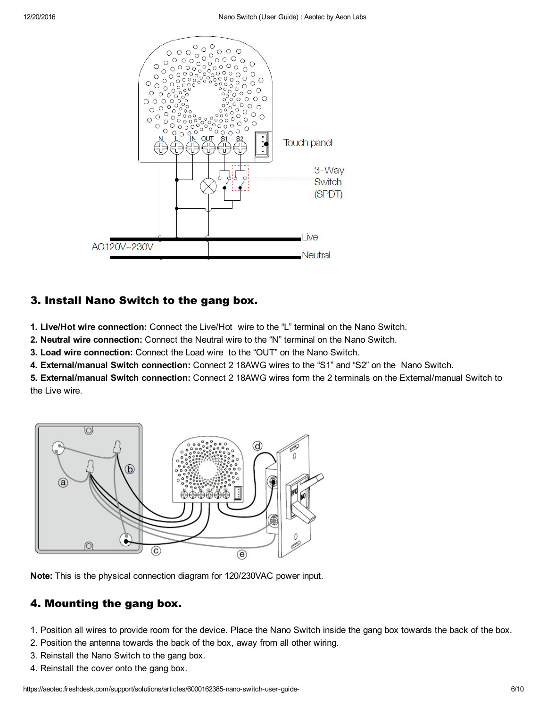

#### 3. Install Nano Switch to the gang box.

1. Live/Hot wire connection: Connect the Live/Hot wire to the "L" terminal on the Nano Switch.

2. Neutral wire connection: Connect the Neutral wire to the "N" terminal on the Nano Switch.

3. Load wire connection: Connect the Load wire to the "OUT" on the Nano Switch.

4. External/manual Switch connection: Connect 2 18AWG wires to the "S1" and "S2" on the Nano Switch.

5. External/manual Switch connection: Connect 2 18AWG wires form the 2 terminals on the External/manual Switch to the Live wire.



Note: This is the physical connection diagram for 120/230VAC power input.

#### 4. Mounting the gang box.

- 1. Position all wires to provide room for the device. Place the Nano Switch inside the gang box towards the back of the box.
- 2. Position the antenna towards the back of the box, away from all other wiring.
- 3. Reinstall the Nano Switch to the gang box.
- 4. Reinstall the cover onto the gang box.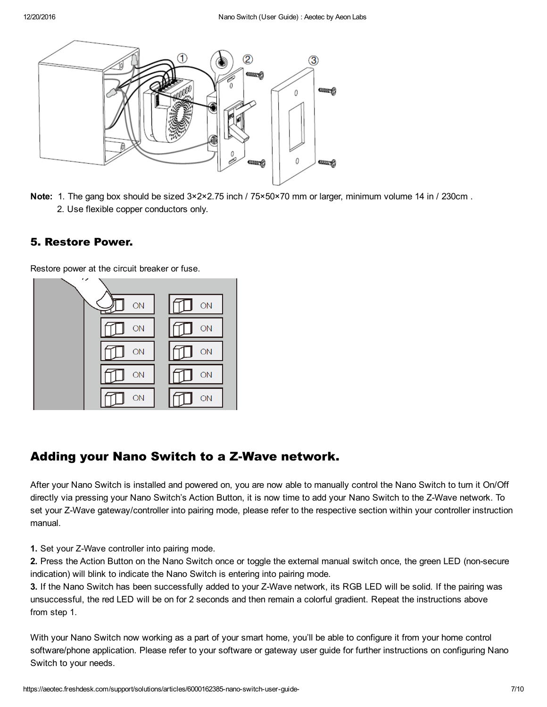

Note: 1. The gang box should be sized 3×2×2.75 inch / 75×50×70 mm or larger, minimum volume 14 in / 230cm. 2. Use flexible copper conductors only.

#### 5. Restore Power.

Restore power at the circuit breaker or fuse.



## Adding your Nano Switch to a Z-Wave network.

After your Nano Switch is installed and powered on, you are now able to manually control the Nano Switch to turn it On/Off directly via pressing your Nano Switch's Action Button, it is now time to add your Nano Switch to the Z-Wave network. To set your Z-Wave gateway/controller into pairing mode, please refer to the respective section within your controller instruction manual.

1. Set your Z-Wave controller into pairing mode.

2. Press the Action Button on the Nano Switch once or toggle the external manual switch once, the green LED (nonsecure indication) will blink to indicate the Nano Switch is entering into pairing mode.

3. If the Nano Switch has been successfully added to your Z-Wave network, its RGB LED will be solid. If the pairing was unsuccessful, the red LED will be on for 2 seconds and then remain a colorful gradient. Repeat the instructions above from step 1.

With your Nano Switch now working as a part of your smart home, you'll be able to configure it from your home control software/phone application. Please refer to your software or gateway user guide for further instructions on configuring Nano Switch to your needs.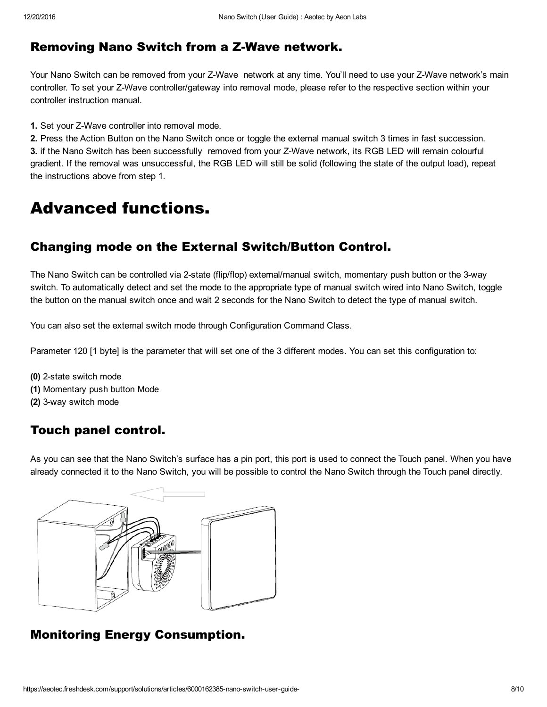## Removing Nano Switch from a Z-Wave network.

Your Nano Switch can be removed from your Z-Wave network at any time. You'll need to use your Z-Wave network's main controller. To set your Z-Wave controller/gateway into removal mode, please refer to the respective section within your controller instruction manual.

1. Set your Z-Wave controller into removal mode.

2. Press the Action Button on the Nano Switch once or toggle the external manual switch 3 times in fast succession. 3. if the Nano Switch has been successfully removed from your Z-Wave network, its RGB LED will remain colourful gradient. If the removal was unsuccessful, the RGB LED will still be solid (following the state of the output load), repeat the instructions above from step 1.

# Advanced functions.

## Changing mode on the External Switch/Button Control.

The Nano Switch can be controlled via 2-state (flip/flop) external/manual switch, momentary push button or the 3-way switch. To automatically detect and set the mode to the appropriate type of manual switch wired into Nano Switch, toggle the button on the manual switch once and wait 2 seconds for the Nano Switch to detect the type of manual switch.

You can also set the external switch mode through Configuration Command Class.

Parameter 120 [1 byte] is the parameter that will set one of the 3 different modes. You can set this configuration to:

(0) 2-state switch mode (1) Momentary push button Mode (2) 3-way switch mode

## Touch panel control.

As you can see that the Nano Switch's surface has a pin port, this port is used to connect the Touch panel. When you have already connected it to the Nano Switch, you will be possible to control the Nano Switch through the Touch panel directly.



## Monitoring Energy Consumption.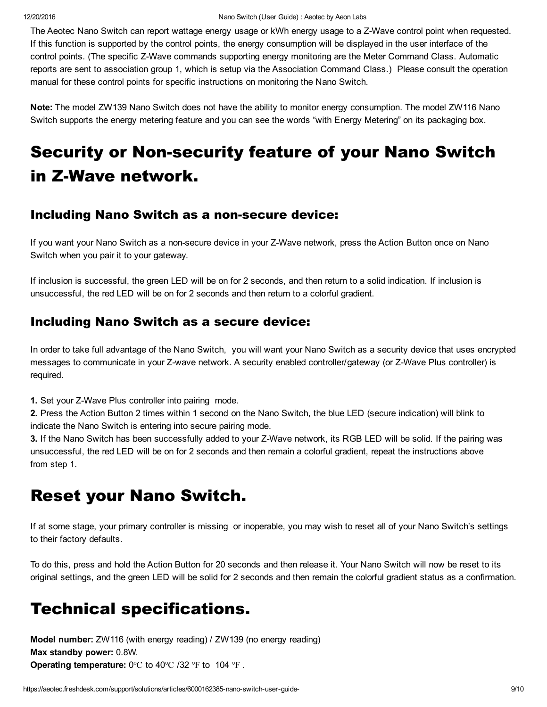The Aeotec Nano Switch can report wattage energy usage or kWh energy usage to a Z-Wave control point when requested. If this function is supported by the control points, the energy consumption will be displayed in the user interface of the control points. (The specific Z-Wave commands supporting energy monitoring are the Meter Command Class. Automatic reports are sent to association group 1, which is setup via the Association Command Class.) Please consult the operation manual for these control points for specific instructions on monitoring the Nano Switch.

Note: The model ZW139 Nano Switch does not have the ability to monitor energy consumption. The model ZW116 Nano Switch supports the energy metering feature and you can see the words "with Energy Metering" on its packaging box.

# **Security or Non-security feature of your Nano Switch** in Z-Wave network.

#### Including Nano Switch as a non-secure device:

If you want your Nano Switch as a non-secure device in your Z-Wave network, press the Action Button once on Nano Switch when you pair it to your gateway.

If inclusion is successful, the green LED will be on for 2 seconds, and then return to a solid indication. If inclusion is unsuccessful, the red LED will be on for 2 seconds and then return to a colorful gradient.

## Including Nano Switch as a secure device:

In order to take full advantage of the Nano Switch, you will want your Nano Switch as a security device that uses encrypted messages to communicate in your Z-wave network. A security enabled controller/gateway (or Z-Wave Plus controller) is required.

1. Set your Z-Wave Plus controller into pairing mode.

2. Press the Action Button 2 times within 1 second on the Nano Switch, the blue LED (secure indication) will blink to indicate the Nano Switch is entering into secure pairing mode.

3. If the Nano Switch has been successfully added to your Z-Wave network, its RGB LED will be solid. If the pairing was unsuccessful, the red LED will be on for 2 seconds and then remain a colorful gradient, repeat the instructions above from step 1.

# Reset your Nano Switch.

If at some stage, your primary controller is missing or inoperable, you may wish to reset all of your Nano Switch's settings to their factory defaults.

To do this, press and hold the Action Button for 20 seconds and then release it. Your Nano Switch will now be reset to its original settings, and the green LED will be solid for 2 seconds and then remain the colorful gradient status as a confirmation.

# Technical specifications.

Model number: ZW116 (with energy reading) / ZW139 (no energy reading) Max standby power: 0.8W. Operating temperature: 0℃ to 40℃ /32 ℉ to 104 ℉ .